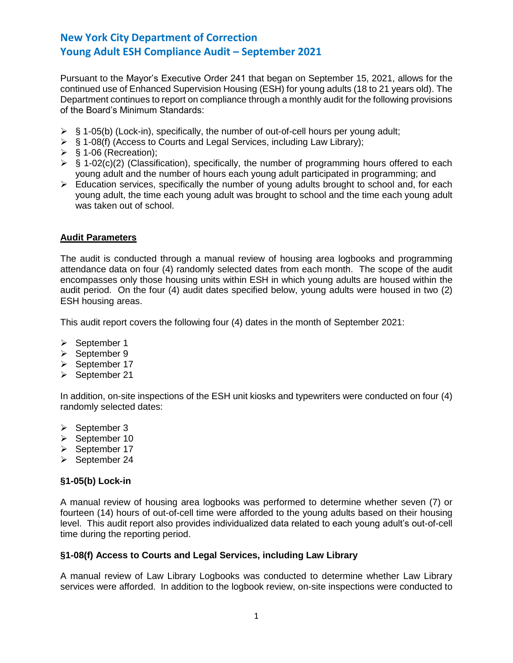Pursuant to the Mayor's Executive Order 241 that began on September 15, 2021, allows for the continued use of Enhanced Supervision Housing (ESH) for young adults (18 to 21 years old). The Department continues to report on compliance through a monthly audit for the following provisions of the Board's Minimum Standards:

- $\triangleright$  § 1-05(b) (Lock-in), specifically, the number of out-of-cell hours per young adult;
- ➢ § 1-08(f) (Access to Courts and Legal Services, including Law Library);
- $\triangleright$  § 1-06 (Recreation);
- $\triangleright$  § 1-02(c)(2) (Classification), specifically, the number of programming hours offered to each young adult and the number of hours each young adult participated in programming; and
- ➢ Education services, specifically the number of young adults brought to school and, for each young adult, the time each young adult was brought to school and the time each young adult was taken out of school.

## **Audit Parameters**

The audit is conducted through a manual review of housing area logbooks and programming attendance data on four (4) randomly selected dates from each month. The scope of the audit encompasses only those housing units within ESH in which young adults are housed within the audit period. On the four (4) audit dates specified below, young adults were housed in two (2) ESH housing areas.

This audit report covers the following four (4) dates in the month of September 2021:

- ➢ September 1
- ➢ September 9
- ➢ September 17
- ➢ September 21

In addition, on-site inspections of the ESH unit kiosks and typewriters were conducted on four (4) randomly selected dates:

- ➢ September 3
- ➢ September 10
- ➢ September 17
- ➢ September 24

#### **§1-05(b) Lock-in**

A manual review of housing area logbooks was performed to determine whether seven (7) or fourteen (14) hours of out-of-cell time were afforded to the young adults based on their housing level. This audit report also provides individualized data related to each young adult's out-of-cell time during the reporting period.

#### **§1-08(f) Access to Courts and Legal Services, including Law Library**

A manual review of Law Library Logbooks was conducted to determine whether Law Library services were afforded. In addition to the logbook review, on-site inspections were conducted to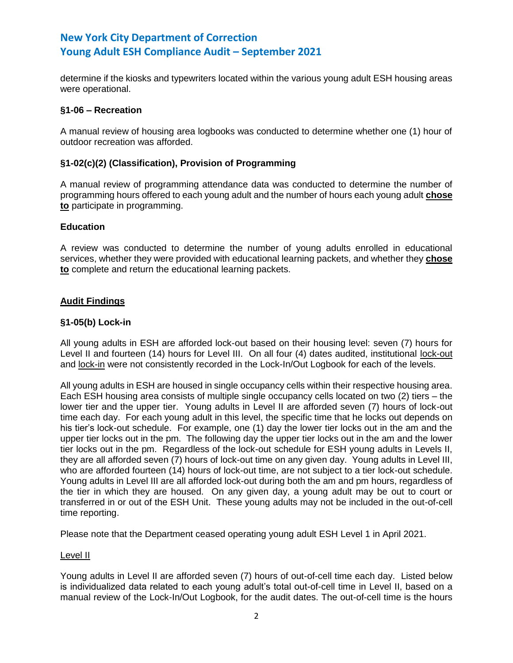determine if the kiosks and typewriters located within the various young adult ESH housing areas were operational.

## **§1-06 – Recreation**

A manual review of housing area logbooks was conducted to determine whether one (1) hour of outdoor recreation was afforded.

## **§1-02(c)(2) (Classification), Provision of Programming**

A manual review of programming attendance data was conducted to determine the number of programming hours offered to each young adult and the number of hours each young adult **chose to** participate in programming.

## **Education**

A review was conducted to determine the number of young adults enrolled in educational services, whether they were provided with educational learning packets, and whether they **chose to** complete and return the educational learning packets.

## **Audit Findings**

## **§1-05(b) Lock-in**

All young adults in ESH are afforded lock-out based on their housing level: seven (7) hours for Level II and fourteen (14) hours for Level III. On all four (4) dates audited, institutional lock-out and lock-in were not consistently recorded in the Lock-In/Out Logbook for each of the levels.

All young adults in ESH are housed in single occupancy cells within their respective housing area. Each ESH housing area consists of multiple single occupancy cells located on two (2) tiers – the lower tier and the upper tier. Young adults in Level II are afforded seven (7) hours of lock-out time each day. For each young adult in this level, the specific time that he locks out depends on his tier's lock-out schedule. For example, one (1) day the lower tier locks out in the am and the upper tier locks out in the pm. The following day the upper tier locks out in the am and the lower tier locks out in the pm. Regardless of the lock-out schedule for ESH young adults in Levels II, they are all afforded seven (7) hours of lock-out time on any given day. Young adults in Level III, who are afforded fourteen (14) hours of lock-out time, are not subject to a tier lock-out schedule. Young adults in Level III are all afforded lock-out during both the am and pm hours, regardless of the tier in which they are housed. On any given day, a young adult may be out to court or transferred in or out of the ESH Unit. These young adults may not be included in the out-of-cell time reporting.

Please note that the Department ceased operating young adult ESH Level 1 in April 2021.

#### Level II

Young adults in Level II are afforded seven (7) hours of out-of-cell time each day. Listed below is individualized data related to each young adult's total out-of-cell time in Level II, based on a manual review of the Lock-In/Out Logbook, for the audit dates. The out-of-cell time is the hours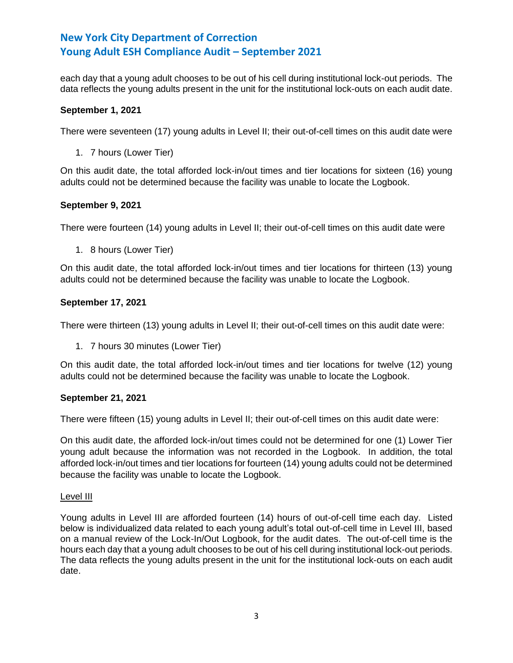each day that a young adult chooses to be out of his cell during institutional lock-out periods. The data reflects the young adults present in the unit for the institutional lock-outs on each audit date.

## **September 1, 2021**

There were seventeen (17) young adults in Level II; their out-of-cell times on this audit date were

1. 7 hours (Lower Tier)

On this audit date, the total afforded lock-in/out times and tier locations for sixteen (16) young adults could not be determined because the facility was unable to locate the Logbook.

## **September 9, 2021**

There were fourteen (14) young adults in Level II; their out-of-cell times on this audit date were

1. 8 hours (Lower Tier)

On this audit date, the total afforded lock-in/out times and tier locations for thirteen (13) young adults could not be determined because the facility was unable to locate the Logbook.

## **September 17, 2021**

There were thirteen (13) young adults in Level II; their out-of-cell times on this audit date were:

1. 7 hours 30 minutes (Lower Tier)

On this audit date, the total afforded lock-in/out times and tier locations for twelve (12) young adults could not be determined because the facility was unable to locate the Logbook.

#### **September 21, 2021**

There were fifteen (15) young adults in Level II; their out-of-cell times on this audit date were:

On this audit date, the afforded lock-in/out times could not be determined for one (1) Lower Tier young adult because the information was not recorded in the Logbook. In addition, the total afforded lock-in/out times and tier locations for fourteen (14) young adults could not be determined because the facility was unable to locate the Logbook.

#### Level III

Young adults in Level III are afforded fourteen (14) hours of out-of-cell time each day. Listed below is individualized data related to each young adult's total out-of-cell time in Level III, based on a manual review of the Lock-In/Out Logbook, for the audit dates. The out-of-cell time is the hours each day that a young adult chooses to be out of his cell during institutional lock-out periods. The data reflects the young adults present in the unit for the institutional lock-outs on each audit date.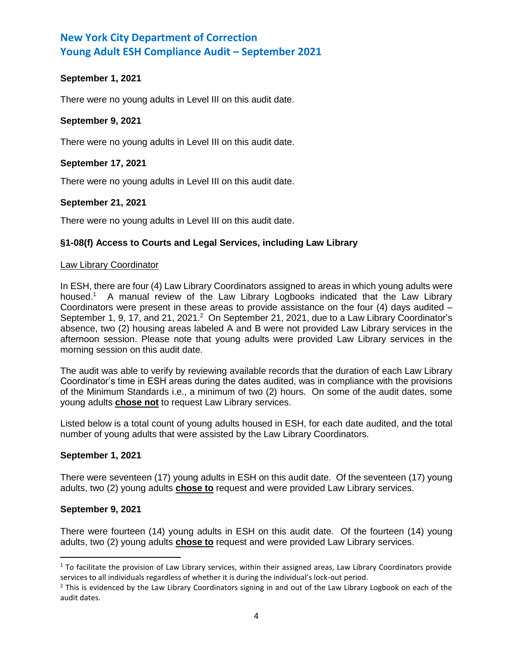## **September 1, 2021**

There were no young adults in Level III on this audit date.

## **September 9, 2021**

There were no young adults in Level III on this audit date.

## **September 17, 2021**

There were no young adults in Level III on this audit date.

## **September 21, 2021**

There were no young adults in Level III on this audit date.

## **§1-08(f) Access to Courts and Legal Services, including Law Library**

#### Law Library Coordinator

In ESH, there are four (4) Law Library Coordinators assigned to areas in which young adults were housed.<sup>1</sup> A manual review of the Law Library Logbooks indicated that the Law Library Coordinators were present in these areas to provide assistance on the four  $(4)$  days audited  $-$ September 1, 9, 17, and 21, 2021.<sup>2</sup> On September 21, 2021, due to a Law Library Coordinator's absence, two (2) housing areas labeled A and B were not provided Law Library services in the afternoon session. Please note that young adults were provided Law Library services in the morning session on this audit date.

The audit was able to verify by reviewing available records that the duration of each Law Library Coordinator's time in ESH areas during the dates audited, was in compliance with the provisions of the Minimum Standards i.e., a minimum of two (2) hours. On some of the audit dates, some young adults **chose not** to request Law Library services.

Listed below is a total count of young adults housed in ESH, for each date audited, and the total number of young adults that were assisted by the Law Library Coordinators.

#### **September 1, 2021**

There were seventeen (17) young adults in ESH on this audit date. Of the seventeen (17) young adults, two (2) young adults **chose to** request and were provided Law Library services.

#### **September 9, 2021**

l

There were fourteen (14) young adults in ESH on this audit date. Of the fourteen (14) young adults, two (2) young adults **chose to** request and were provided Law Library services.

 $1$  To facilitate the provision of Law Library services, within their assigned areas, Law Library Coordinators provide services to all individuals regardless of whether it is during the individual's lock-out period.

 $<sup>2</sup>$  This is evidenced by the Law Library Coordinators signing in and out of the Law Library Logbook on each of the</sup> audit dates.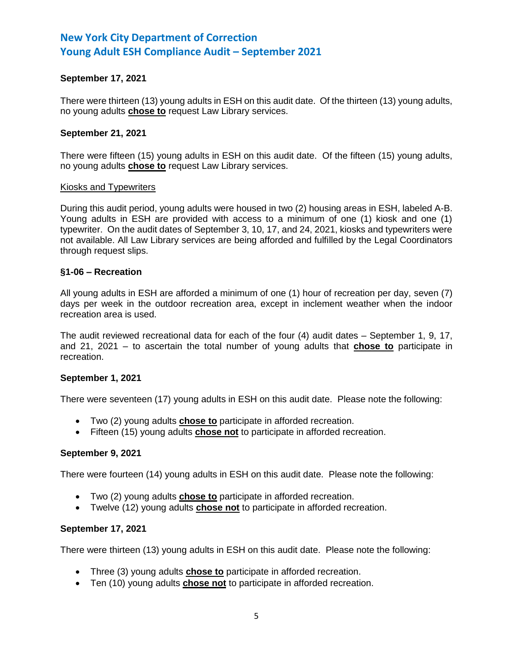## **September 17, 2021**

There were thirteen (13) young adults in ESH on this audit date. Of the thirteen (13) young adults, no young adults **chose to** request Law Library services.

#### **September 21, 2021**

There were fifteen (15) young adults in ESH on this audit date. Of the fifteen (15) young adults, no young adults **chose to** request Law Library services.

#### Kiosks and Typewriters

During this audit period, young adults were housed in two (2) housing areas in ESH, labeled A-B. Young adults in ESH are provided with access to a minimum of one (1) kiosk and one (1) typewriter. On the audit dates of September 3, 10, 17, and 24, 2021, kiosks and typewriters were not available. All Law Library services are being afforded and fulfilled by the Legal Coordinators through request slips.

#### **§1-06 – Recreation**

All young adults in ESH are afforded a minimum of one (1) hour of recreation per day, seven (7) days per week in the outdoor recreation area, except in inclement weather when the indoor recreation area is used.

The audit reviewed recreational data for each of the four (4) audit dates – September 1, 9, 17, and 21, 2021 – to ascertain the total number of young adults that **chose to** participate in recreation.

#### **September 1, 2021**

There were seventeen (17) young adults in ESH on this audit date. Please note the following:

- Two (2) young adults **chose to** participate in afforded recreation.
- Fifteen (15) young adults **chose not** to participate in afforded recreation.

#### **September 9, 2021**

There were fourteen (14) young adults in ESH on this audit date. Please note the following:

- Two (2) young adults **chose to** participate in afforded recreation.
- Twelve (12) young adults **chose not** to participate in afforded recreation.

#### **September 17, 2021**

There were thirteen (13) young adults in ESH on this audit date. Please note the following:

- Three (3) young adults **chose to** participate in afforded recreation.
- Ten (10) young adults **chose not** to participate in afforded recreation.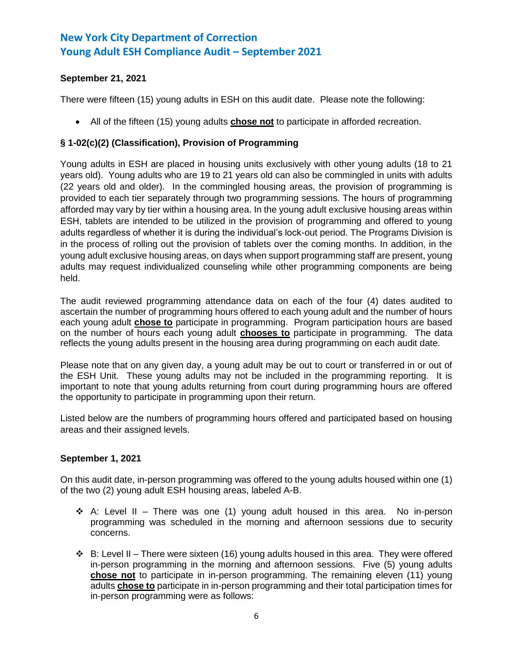# **September 21, 2021**

There were fifteen (15) young adults in ESH on this audit date. Please note the following:

• All of the fifteen (15) young adults **chose not** to participate in afforded recreation.

# **§ 1-02(c)(2) (Classification), Provision of Programming**

Young adults in ESH are placed in housing units exclusively with other young adults (18 to 21 years old). Young adults who are 19 to 21 years old can also be commingled in units with adults (22 years old and older). In the commingled housing areas, the provision of programming is provided to each tier separately through two programming sessions. The hours of programming afforded may vary by tier within a housing area. In the young adult exclusive housing areas within ESH, tablets are intended to be utilized in the provision of programming and offered to young adults regardless of whether it is during the individual's lock-out period. The Programs Division is in the process of rolling out the provision of tablets over the coming months. In addition, in the young adult exclusive housing areas, on days when support programming staff are present, young adults may request individualized counseling while other programming components are being held.

The audit reviewed programming attendance data on each of the four (4) dates audited to ascertain the number of programming hours offered to each young adult and the number of hours each young adult **chose to** participate in programming. Program participation hours are based on the number of hours each young adult **chooses to** participate in programming. The data reflects the young adults present in the housing area during programming on each audit date.

Please note that on any given day, a young adult may be out to court or transferred in or out of the ESH Unit. These young adults may not be included in the programming reporting. It is important to note that young adults returning from court during programming hours are offered the opportunity to participate in programming upon their return.

Listed below are the numbers of programming hours offered and participated based on housing areas and their assigned levels.

## **September 1, 2021**

On this audit date, in-person programming was offered to the young adults housed within one (1) of the two (2) young adult ESH housing areas, labeled A-B.

- $\dots$  A: Level II There was one (1) young adult housed in this area. No in-person programming was scheduled in the morning and afternoon sessions due to security concerns.
- $\div$  B: Level II There were sixteen (16) young adults housed in this area. They were offered in-person programming in the morning and afternoon sessions. Five (5) young adults **chose not** to participate in in-person programming. The remaining eleven (11) young adults **chose to** participate in in-person programming and their total participation times for in-person programming were as follows: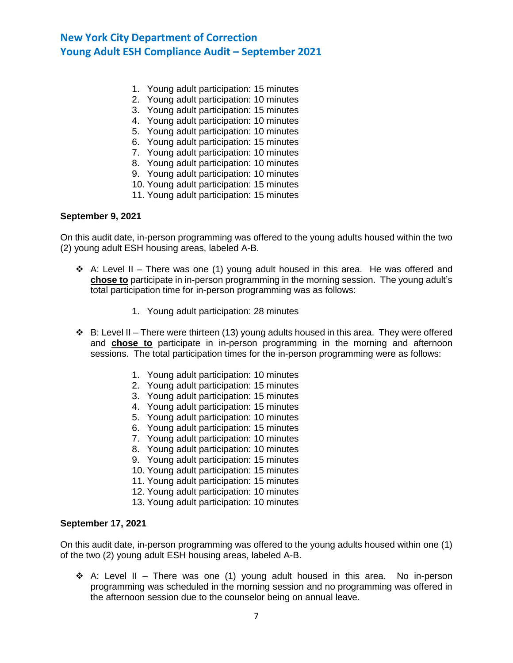- 1. Young adult participation: 15 minutes
- 2. Young adult participation: 10 minutes
- 3. Young adult participation: 15 minutes
- 4. Young adult participation: 10 minutes
- 5. Young adult participation: 10 minutes
- 6. Young adult participation: 15 minutes
- 7. Young adult participation: 10 minutes
- 8. Young adult participation: 10 minutes
- 9. Young adult participation: 10 minutes
- 10. Young adult participation: 15 minutes
- 11. Young adult participation: 15 minutes

#### **September 9, 2021**

On this audit date, in-person programming was offered to the young adults housed within the two (2) young adult ESH housing areas, labeled A-B.

- $\div$  A: Level II There was one (1) young adult housed in this area. He was offered and **chose to** participate in in-person programming in the morning session. The young adult's total participation time for in-person programming was as follows:
	- 1. Young adult participation: 28 minutes
- ❖ B: Level II There were thirteen (13) young adults housed in this area. They were offered and **chose to** participate in in-person programming in the morning and afternoon sessions. The total participation times for the in-person programming were as follows:
	- 1. Young adult participation: 10 minutes
	- 2. Young adult participation: 15 minutes
	- 3. Young adult participation: 15 minutes
	- 4. Young adult participation: 15 minutes
	- 5. Young adult participation: 10 minutes
	- 6. Young adult participation: 15 minutes
	- 7. Young adult participation: 10 minutes
	- 8. Young adult participation: 10 minutes
	- 9. Young adult participation: 15 minutes
	- 10. Young adult participation: 15 minutes
	- 11. Young adult participation: 15 minutes
	- 12. Young adult participation: 10 minutes
	- 13. Young adult participation: 10 minutes

#### **September 17, 2021**

On this audit date, in-person programming was offered to the young adults housed within one (1) of the two (2) young adult ESH housing areas, labeled A-B.

 $\dots$  A: Level II – There was one (1) young adult housed in this area. No in-person programming was scheduled in the morning session and no programming was offered in the afternoon session due to the counselor being on annual leave.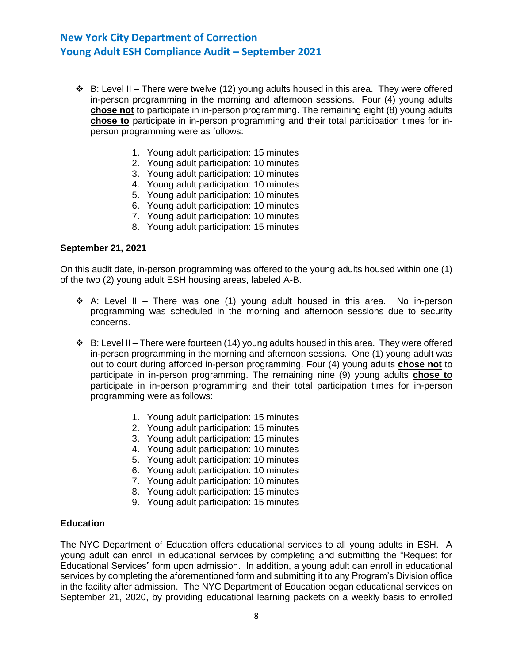- $\div$  B: Level II There were twelve (12) young adults housed in this area. They were offered in-person programming in the morning and afternoon sessions. Four (4) young adults **chose not** to participate in in-person programming. The remaining eight (8) young adults **chose to** participate in in-person programming and their total participation times for inperson programming were as follows:
	- 1. Young adult participation: 15 minutes
	- 2. Young adult participation: 10 minutes
	- 3. Young adult participation: 10 minutes
	- 4. Young adult participation: 10 minutes
	- 5. Young adult participation: 10 minutes
	- 6. Young adult participation: 10 minutes
	- 7. Young adult participation: 10 minutes
	- 8. Young adult participation: 15 minutes

#### **September 21, 2021**

On this audit date, in-person programming was offered to the young adults housed within one (1) of the two (2) young adult ESH housing areas, labeled A-B.

- ◆ A: Level II There was one (1) young adult housed in this area. No in-person programming was scheduled in the morning and afternoon sessions due to security concerns.
- $\div$  B: Level II There were fourteen (14) young adults housed in this area. They were offered in-person programming in the morning and afternoon sessions. One (1) young adult was out to court during afforded in-person programming. Four (4) young adults **chose not** to participate in in-person programming. The remaining nine (9) young adults **chose to** participate in in-person programming and their total participation times for in-person programming were as follows:
	- 1. Young adult participation: 15 minutes
	- 2. Young adult participation: 15 minutes
	- 3. Young adult participation: 15 minutes
	- 4. Young adult participation: 10 minutes
	- 5. Young adult participation: 10 minutes
	- 6. Young adult participation: 10 minutes
	- 7. Young adult participation: 10 minutes
	- 8. Young adult participation: 15 minutes
	- 9. Young adult participation: 15 minutes

#### **Education**

The NYC Department of Education offers educational services to all young adults in ESH. A young adult can enroll in educational services by completing and submitting the "Request for Educational Services" form upon admission. In addition, a young adult can enroll in educational services by completing the aforementioned form and submitting it to any Program's Division office in the facility after admission. The NYC Department of Education began educational services on September 21, 2020, by providing educational learning packets on a weekly basis to enrolled